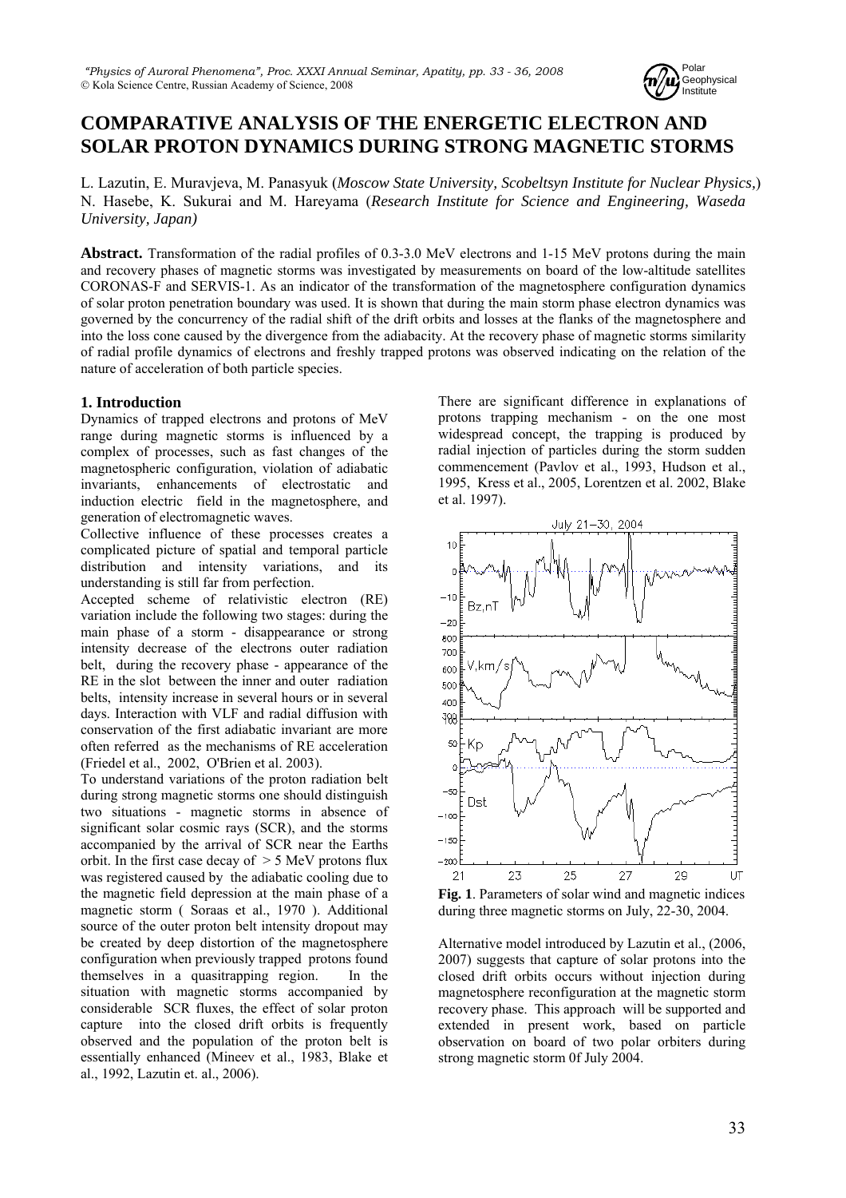

# **COMPARATIVE ANALYSIS OF THE ENERGETIC ELECTRON AND SOLAR PROTON DYNAMICS DURING STRONG MAGNETIC STORMS**

L. Lazutin, E. Muravjeva, M. Panasyuk (*Moscow State University, Scobeltsyn Institute for Nuclear Physics,*) N. Hasebe, K. Sukurai and M. Hareyama (*Research Institute for Science and Engineering, Waseda University, Japan)*

**Abstract.** Transformation of the radial profiles of 0.3-3.0 MeV electrons and 1-15 MeV protons during the main and recovery phases of magnetic storms was investigated by measurements on board of the low-altitude satellites CORONAS-F and SERVIS-1. As an indicator of the transformation of the magnetosphere configuration dynamics of solar proton penetration boundary was used. It is shown that during the main storm phase electron dynamics was governed by the concurrency of the radial shift of the drift orbits and losses at the flanks of the magnetosphere and into the loss cone caused by the divergence from the adiabacity. At the recovery phase of magnetic storms similarity of radial profile dynamics of electrons and freshly trapped protons was observed indicating on the relation of the nature of acceleration of both particle species.

## **1. Introduction**

Dynamics of trapped electrons and protons of MeV range during magnetic storms is influenced by a complex of processes, such as fast changes of the magnetospheric configuration, violation of adiabatic invariants, enhancements of electrostatic and induction electric field in the magnetosphere, and generation of electromagnetic waves.

Collective influence of these processes creates a complicated picture of spatial and temporal particle distribution and intensity variations, and its understanding is still far from perfection.

Accepted scheme of relativistic electron (RE) variation include the following two stages: during the main phase of a storm - disappearance or strong intensity decrease of the electrons outer radiation belt, during the recovery phase - appearance of the RE in the slot between the inner and outer radiation belts, intensity increase in several hours or in several days. Interaction with VLF and radial diffusion with conservation of the first adiabatic invariant are more often referred as the mechanisms of RE acceleration (Friedel et al., 2002, O'Brien et al. 2003).

To understand variations of the proton radiation belt during strong magnetic storms one should distinguish two situations - magnetic storms in absence of significant solar cosmic rays (SCR), and the storms accompanied by the arrival of SCR near the Earths orbit. In the first case decay of > 5 MeV protons flux was registered caused by the adiabatic cooling due to the magnetic field depression at the main phase of a magnetic storm ( Soraas et al., 1970 ). Additional source of the outer proton belt intensity dropout may be created by deep distortion of the magnetosphere configuration when previously trapped protons found themselves in a quasitrapping region. In the situation with magnetic storms accompanied by considerable SCR fluxes, the effect of solar proton capture into the closed drift orbits is frequently observed and the population of the proton belt is essentially enhanced (Mineev et al., 1983, Blake et al., 1992, Lazutin et. al., 2006).

There are significant difference in explanations of protons trapping mechanism - on the one most widespread concept, the trapping is produced by radial injection of particles during the storm sudden commencement (Pavlov et al., 1993, Hudson et al., 1995, Kress et al., 2005, Lorentzen et al. 2002, Blake et al. 1997).



**Fig. 1**. Parameters of solar wind and magnetic indices during three magnetic storms on July, 22-30, 2004.

Alternative model introduced by Lazutin et al., (2006, 2007) suggests that capture of solar protons into the closed drift orbits occurs without injection during magnetosphere reconfiguration at the magnetic storm recovery phase. This approach will be supported and extended in present work, based on particle observation on board of two polar orbiters during strong magnetic storm 0f July 2004.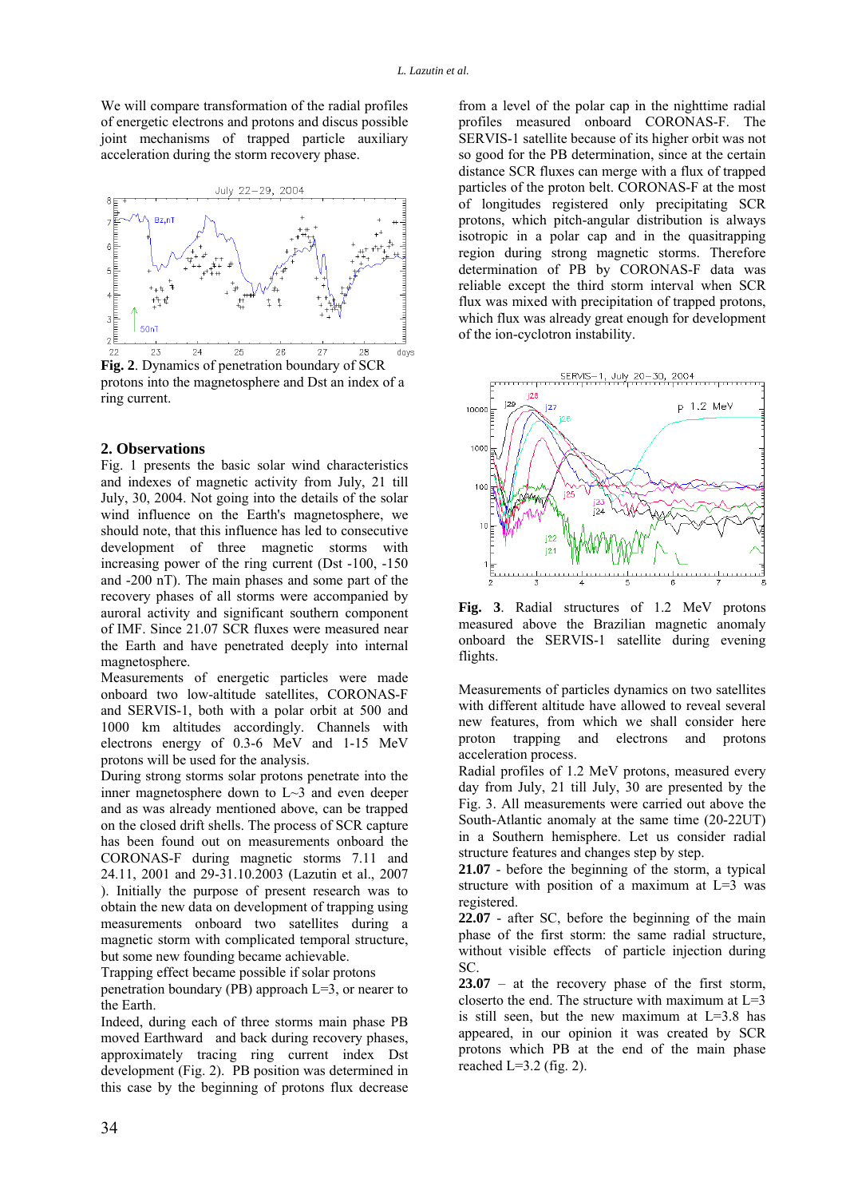We will compare transformation of the radial profiles of energetic electrons and protons and discus possible joint mechanisms of trapped particle auxiliary acceleration during the storm recovery phase.



protons into the magnetosphere and Dst an index of a ring current.

### **2. Observations**

Fig. 1 presents the basic solar wind characteristics and indexes of magnetic activity from July, 21 till July, 30, 2004. Not going into the details of the solar wind influence on the Earth's magnetosphere, we should note, that this influence has led to consecutive development of three magnetic storms with increasing power of the ring current (Dst -100, -150 and -200 nT). The main phases and some part of the recovery phases of all storms were accompanied by auroral activity and significant southern component of IMF. Since 21.07 SCR fluxes were measured near the Earth and have penetrated deeply into internal magnetosphere.

Measurements of energetic particles were made onboard two low-altitude satellites, CORONAS-F and SERVIS-1, both with a polar orbit at 500 and 1000 km altitudes accordingly. Channels with electrons energy of 0.3-6 MeV and 1-15 MeV protons will be used for the analysis.

During strong storms solar protons penetrate into the inner magnetosphere down to L~3 and even deeper and as was already mentioned above, can be trapped on the closed drift shells. The process of SCR capture has been found out on measurements onboard the CORONAS-F during magnetic storms 7.11 and 24.11, 2001 and 29-31.10.2003 (Lazutin et al., 2007 ). Initially the purpose of present research was to obtain the new data on development of trapping using measurements onboard two satellites during a magnetic storm with complicated temporal structure, but some new founding became achievable.

Trapping effect became possible if solar protons

penetration boundary (PB) approach  $L=3$ , or nearer to the Earth.

Indeed, during each of three storms main phase PB moved Earthward and back during recovery phases, approximately tracing ring current index Dst development (Fig. 2). PB position was determined in this case by the beginning of protons flux decrease

from a level of the polar cap in the nighttime radial profiles measured onboard CORONAS-F. The SERVIS-1 satellite because of its higher orbit was not so good for the PB determination, since at the certain distance SCR fluxes can merge with a flux of trapped particles of the proton belt. CORONAS-F at the most of longitudes registered only precipitating SCR protons, which pitch-angular distribution is always isotropic in a polar cap and in the quasitrapping region during strong magnetic storms. Therefore determination of PB by CORONAS-F data was reliable except the third storm interval when SCR flux was mixed with precipitation of trapped protons, which flux was already great enough for development of the ion-cyclotron instability.



**Fig. 3**. Radial structures of 1.2 MeV protons measured above the Brazilian magnetic anomaly onboard the SERVIS-1 satellite during evening flights.

Measurements of particles dynamics on two satellites with different altitude have allowed to reveal several new features, from which we shall consider here proton trapping and electrons and protons acceleration process.

Radial profiles of 1.2 MeV protons, measured every day from July, 21 till July, 30 are presented by the Fig. 3. All measurements were carried out above the South-Atlantic anomaly at the same time (20-22UT) in a Southern hemisphere. Let us consider radial structure features and changes step by step.

**21.07** - before the beginning of the storm, a typical structure with position of a maximum at  $L=3$  was registered.

**22.07** - after SC, before the beginning of the main phase of the first storm: the same radial structure, without visible effects of particle injection during SC.

**23.07** – at the recovery phase of the first storm, closerto the end. The structure with maximum at  $L=3$ is still seen, but the new maximum at  $L=3.8$  has appeared, in our opinion it was created by SCR protons which PB at the end of the main phase reached  $L=3.2$  (fig. 2).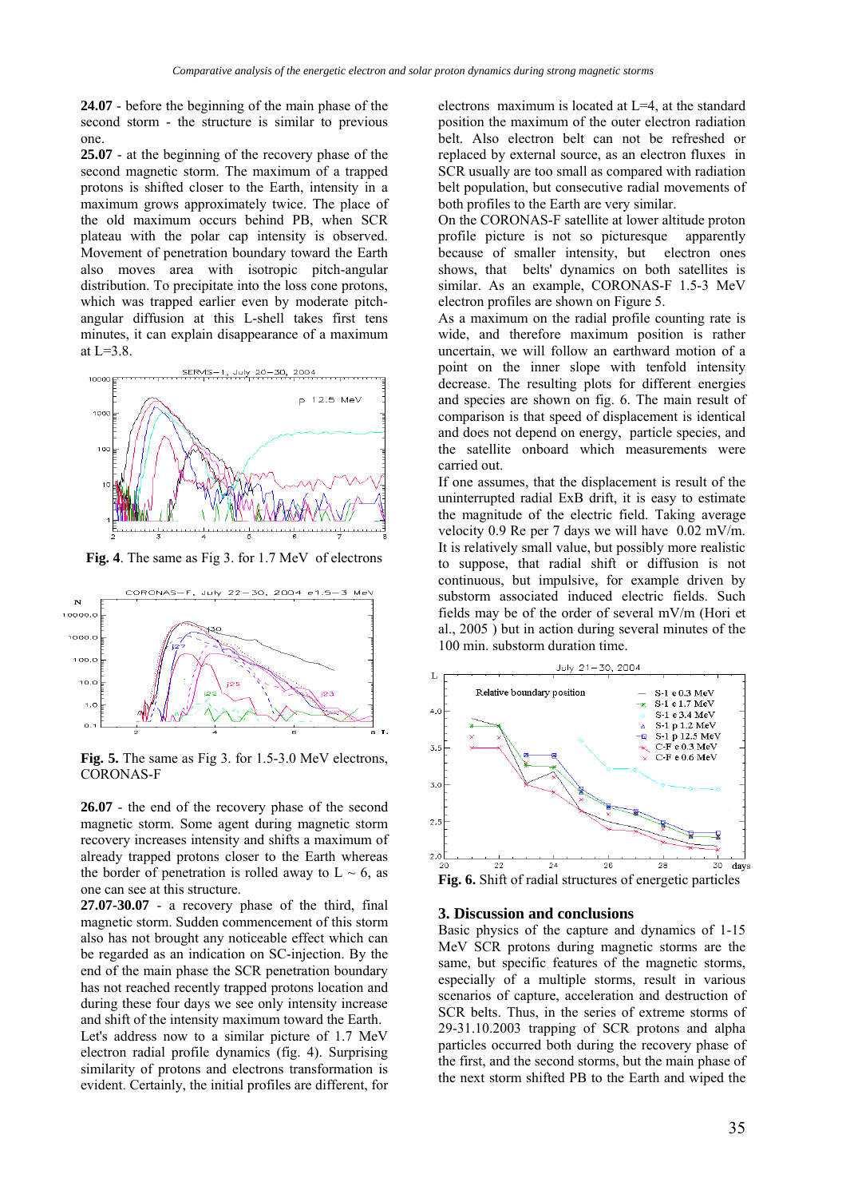**24.07** - before the beginning of the main phase of the second storm - the structure is similar to previous one.

**25.07** - at the beginning of the recovery phase of the second magnetic storm. The maximum of a trapped protons is shifted closer to the Earth, intensity in a maximum grows approximately twice. The place of the old maximum occurs behind PB, when SCR plateau with the polar cap intensity is observed. Movement of penetration boundary toward the Earth also moves area with isotropic pitch-angular distribution. To precipitate into the loss cone protons, which was trapped earlier even by moderate pitchangular diffusion at this L-shell takes first tens minutes, it can explain disappearance of a maximum at L=3.8.



**Fig. 4**. The same as Fig 3. for 1.7 MeV of electrons



**Fig. 5.** The same as Fig 3. for 1.5-3.0 MeV electrons, CORONAS-F

**26.07** - the end of the recovery phase of the second magnetic storm. Some agent during magnetic storm recovery increases intensity and shifts a maximum of already trapped protons closer to the Earth whereas the border of penetration is rolled away to  $L \sim 6$ , as one can see at this structure.

**27.07-30.07** - a recovery phase of the third, final magnetic storm. Sudden commencement of this storm also has not brought any noticeable effect which can be regarded as an indication on SC-injection. By the end of the main phase the SCR penetration boundary has not reached recently trapped protons location and during these four days we see only intensity increase and shift of the intensity maximum toward the Earth. Let's address now to a similar picture of 1.7 MeV electron radial profile dynamics (fig. 4). Surprising similarity of protons and electrons transformation is evident. Certainly, the initial profiles are different, for

electrons maximum is located at L=4, at the standard position the maximum of the outer electron radiation belt. Also electron belt can not be refreshed or replaced by external source, as an electron fluxes in SCR usually are too small as compared with radiation belt population, but consecutive radial movements of both profiles to the Earth are very similar.

On the CORONAS-F satellite at lower altitude proton profile picture is not so picturesque apparently because of smaller intensity, but electron ones shows, that belts' dynamics on both satellites is similar. As an example, CORONAS-F 1.5-3 MeV electron profiles are shown on Figure 5.

As a maximum on the radial profile counting rate is wide, and therefore maximum position is rather uncertain, we will follow an earthward motion of a point on the inner slope with tenfold intensity decrease. The resulting plots for different energies and species are shown on fig. 6. The main result of comparison is that speed of displacement is identical and does not depend on energy, particle species, and the satellite onboard which measurements were carried out.

If one assumes, that the displacement is result of the uninterrupted radial ЕхВ drift, it is easy to estimate the magnitude of the electric field. Taking average velocity 0.9 Re per 7 days we will have 0.02 mV/m. It is relatively small value, but possibly more realistic to suppose, that radial shift or diffusion is not continuous, but impulsive, for example driven by substorm associated induced electric fields. Such fields may be of the order of several mV/m (Hori et al., 2005 ) but in action during several minutes of the 100 min. substorm duration time.



**Fig. 6.** Shift of radial structures of energetic particles

#### **3. Discussion and conclusions**

Basic physics of the capture and dynamics of 1-15 MeV SCR protons during magnetic storms are the same, but specific features of the magnetic storms, especially of a multiple storms, result in various scenarios of capture, acceleration and destruction of SCR belts. Thus, in the series of extreme storms of 29-31.10.2003 trapping of SCR protons and alpha particles occurred both during the recovery phase of the first, and the second storms, but the main phase of the next storm shifted PB to the Earth and wiped the